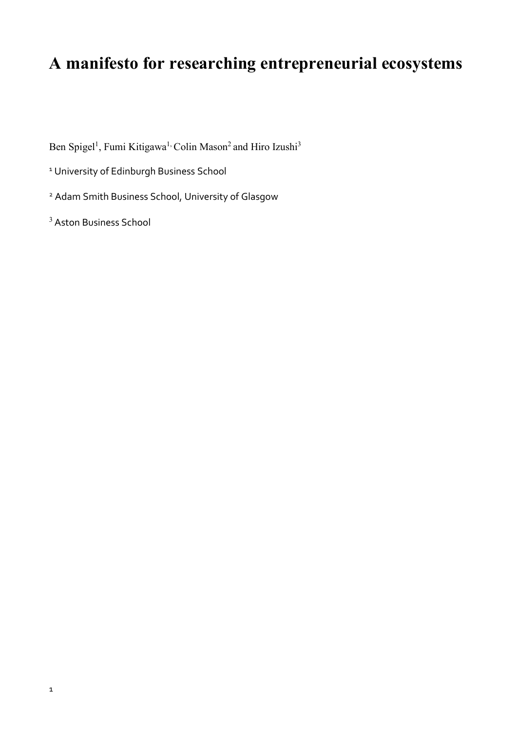# **A manifesto for researching entrepreneurial ecosystems**

Ben Spigel<sup>1</sup>, Fumi Kitigawa<sup>1,</sup> Colin Mason<sup>2</sup> and Hiro Izushi<sup>3</sup>

<sup>1</sup> University of Edinburgh Business School

<sup>2</sup> Adam Smith Business School, University of Glasgow

<sup>3</sup> Aston Business School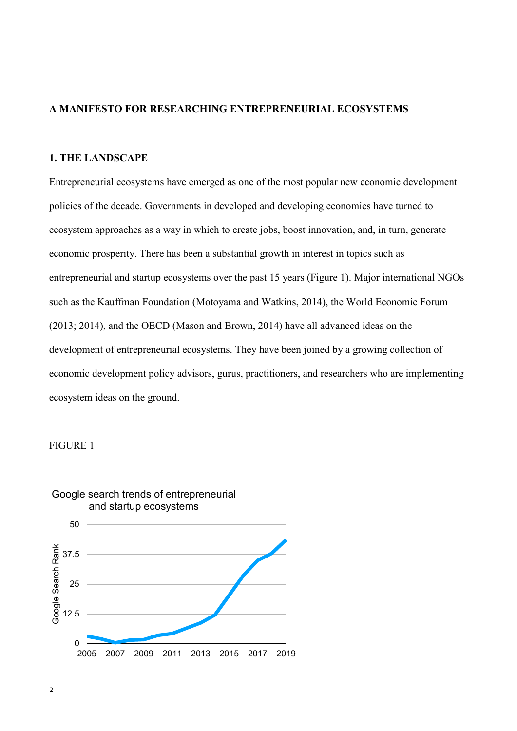# **A MANIFESTO FOR RESEARCHING ENTREPRENEURIAL ECOSYSTEMS**

# **1. THE LANDSCAPE**

Entrepreneurial ecosystems have emerged as one of the most popular new economic development policies of the decade. Governments in developed and developing economies have turned to ecosystem approaches as a way in which to create jobs, boost innovation, and, in turn, generate economic prosperity. There has been a substantial growth in interest in topics such as entrepreneurial and startup ecosystems over the past 15 years (Figure 1). Major international NGOs such as the Kauffman Foundation (Motoyama and Watkins, 2014), the World Economic Forum (2013; 2014), and the OECD (Mason and Brown, 2014) have all advanced ideas on the development of entrepreneurial ecosystems. They have been joined by a growing collection of economic development policy advisors, gurus, practitioners, and researchers who are implementing ecosystem ideas on the ground.

## FIGURE 1

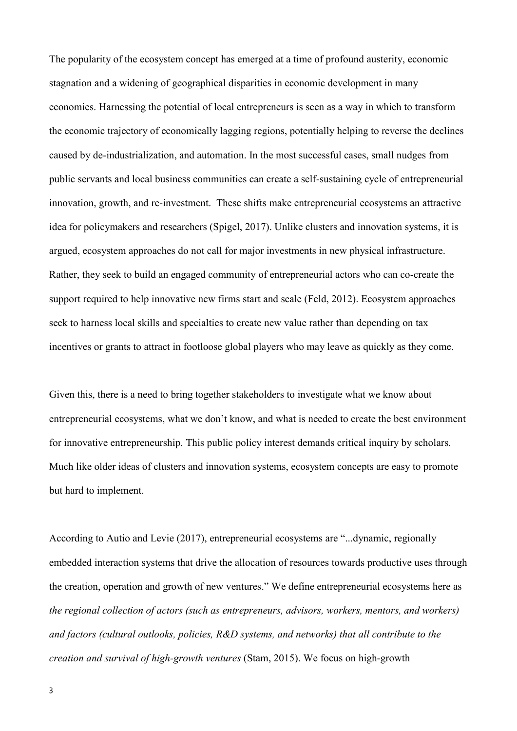The popularity of the ecosystem concept has emerged at a time of profound austerity, economic stagnation and a widening of geographical disparities in economic development in many economies. Harnessing the potential of local entrepreneurs is seen as a way in which to transform the economic trajectory of economically lagging regions, potentially helping to reverse the declines caused by de-industrialization, and automation. In the most successful cases, small nudges from public servants and local business communities can create a self-sustaining cycle of entrepreneurial innovation, growth, and re-investment. These shifts make entrepreneurial ecosystems an attractive idea for policymakers and researchers (Spigel, 2017). Unlike clusters and innovation systems, it is argued, ecosystem approaches do not call for major investments in new physical infrastructure. Rather, they seek to build an engaged community of entrepreneurial actors who can co-create the support required to help innovative new firms start and scale (Feld, 2012). Ecosystem approaches seek to harness local skills and specialties to create new value rather than depending on tax incentives or grants to attract in footloose global players who may leave as quickly as they come.

Given this, there is a need to bring together stakeholders to investigate what we know about entrepreneurial ecosystems, what we don't know, and what is needed to create the best environment for innovative entrepreneurship. This public policy interest demands critical inquiry by scholars. Much like older ideas of clusters and innovation systems, ecosystem concepts are easy to promote but hard to implement.

According to Autio and Levie (2017), entrepreneurial ecosystems are "...dynamic, regionally embedded interaction systems that drive the allocation of resources towards productive uses through the creation, operation and growth of new ventures." We define entrepreneurial ecosystems here as *the regional collection of actors (such as entrepreneurs, advisors, workers, mentors, and workers) and factors (cultural outlooks, policies, R&D systems, and networks) that all contribute to the creation and survival of high-growth ventures* (Stam, 2015). We focus on high-growth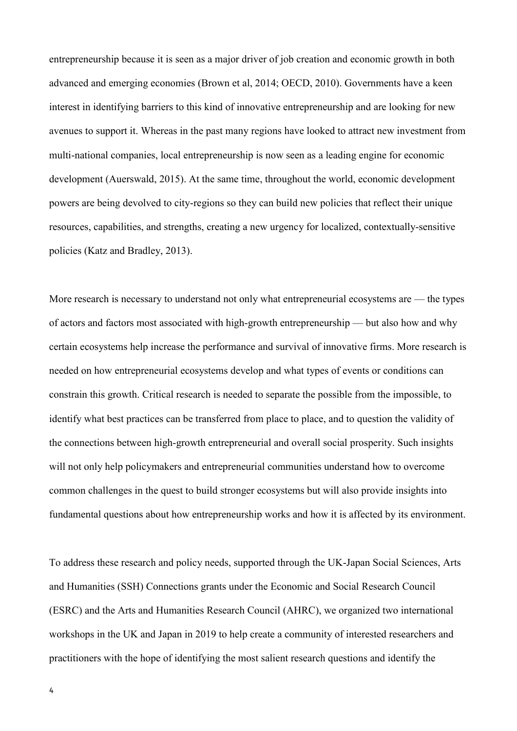entrepreneurship because it is seen as a major driver of job creation and economic growth in both advanced and emerging economies (Brown et al, 2014; OECD, 2010). Governments have a keen interest in identifying barriers to this kind of innovative entrepreneurship and are looking for new avenues to support it. Whereas in the past many regions have looked to attract new investment from multi-national companies, local entrepreneurship is now seen as a leading engine for economic development (Auerswald, 2015). At the same time, throughout the world, economic development powers are being devolved to city-regions so they can build new policies that reflect their unique resources, capabilities, and strengths, creating a new urgency for localized, contextually-sensitive policies (Katz and Bradley, 2013).

More research is necessary to understand not only what entrepreneurial ecosystems are — the types of actors and factors most associated with high-growth entrepreneurship — but also how and why certain ecosystems help increase the performance and survival of innovative firms. More research is needed on how entrepreneurial ecosystems develop and what types of events or conditions can constrain this growth. Critical research is needed to separate the possible from the impossible, to identify what best practices can be transferred from place to place, and to question the validity of the connections between high-growth entrepreneurial and overall social prosperity. Such insights will not only help policymakers and entrepreneurial communities understand how to overcome common challenges in the quest to build stronger ecosystems but will also provide insights into fundamental questions about how entrepreneurship works and how it is affected by its environment.

To address these research and policy needs, supported through the UK-Japan Social Sciences, Arts and Humanities (SSH) Connections grants under the Economic and Social Research Council (ESRC) and the Arts and Humanities Research Council (AHRC), we organized two international workshops in the UK and Japan in 2019 to help create a community of interested researchers and practitioners with the hope of identifying the most salient research questions and identify the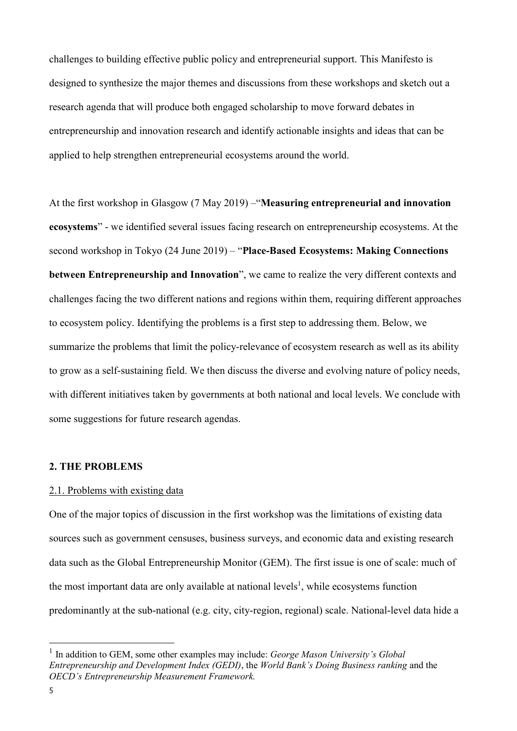challenges to building effective public policy and entrepreneurial support. This Manifesto is designed to synthesize the major themes and discussions from these workshops and sketch out a research agenda that will produce both engaged scholarship to move forward debates in entrepreneurship and innovation research and identify actionable insights and ideas that can be applied to help strengthen entrepreneurial ecosystems around the world.

At the first workshop in Glasgow (7 May 2019) –"**Measuring entrepreneurial and innovation ecosystems**" - we identified several issues facing research on entrepreneurship ecosystems. At the second workshop in Tokyo (24 June 2019) – "**Place-Based Ecosystems: Making Connections between Entrepreneurship and Innovation**", we came to realize the very different contexts and challenges facing the two different nations and regions within them, requiring different approaches to ecosystem policy. Identifying the problems is a first step to addressing them. Below, we summarize the problems that limit the policy-relevance of ecosystem research as well as its ability to grow as a self-sustaining field. We then discuss the diverse and evolving nature of policy needs, with different initiatives taken by governments at both national and local levels. We conclude with some suggestions for future research agendas.

## **2. THE PROBLEMS**

# 2.1. Problems with existing data

One of the major topics of discussion in the first workshop was the limitations of existing data sources such as government censuses, business surveys, and economic data and existing research data such as the Global Entrepreneurship Monitor (GEM). The first issue is one of scale: much of the most important data are only available at national levels<sup>1</sup>, while ecosystems function predominantly at the sub-national (e.g. city, city-region, regional) scale. National-level data hide a

1

<sup>&</sup>lt;sup>1</sup> In addition to GEM, some other examples may include: *George Mason University's Global Entrepreneurship and Development Index (GEDI)*, the *World Bank's Doing Business ranking* and the *OECD's Entrepreneurship Measurement Framework.*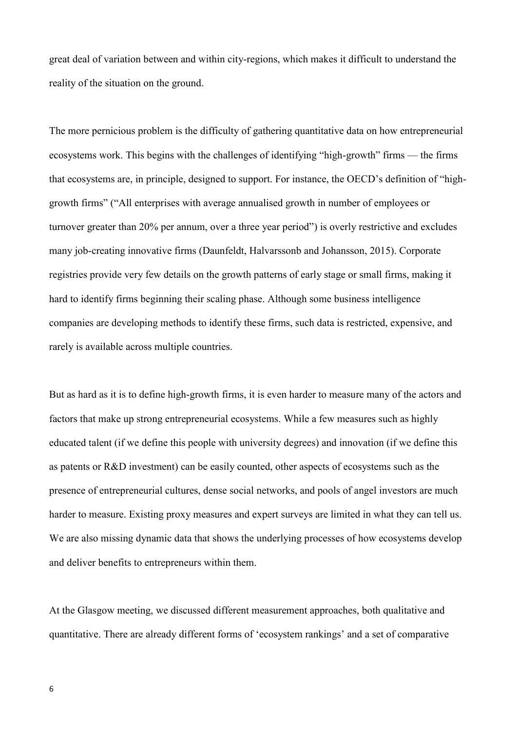great deal of variation between and within city-regions, which makes it difficult to understand the reality of the situation on the ground.

The more pernicious problem is the difficulty of gathering quantitative data on how entrepreneurial ecosystems work. This begins with the challenges of identifying "high-growth" firms — the firms that ecosystems are, in principle, designed to support. For instance, the OECD's definition of "highgrowth firms" ("All enterprises with average annualised growth in number of employees or turnover greater than 20% per annum, over a three year period") is overly restrictive and excludes many job-creating innovative firms (Daunfeldt, Halvarssonb and Johansson, 2015). Corporate registries provide very few details on the growth patterns of early stage or small firms, making it hard to identify firms beginning their scaling phase. Although some business intelligence companies are developing methods to identify these firms, such data is restricted, expensive, and rarely is available across multiple countries.

But as hard as it is to define high-growth firms, it is even harder to measure many of the actors and factors that make up strong entrepreneurial ecosystems. While a few measures such as highly educated talent (if we define this people with university degrees) and innovation (if we define this as patents or R&D investment) can be easily counted, other aspects of ecosystems such as the presence of entrepreneurial cultures, dense social networks, and pools of angel investors are much harder to measure. Existing proxy measures and expert surveys are limited in what they can tell us. We are also missing dynamic data that shows the underlying processes of how ecosystems develop and deliver benefits to entrepreneurs within them.

At the Glasgow meeting, we discussed different measurement approaches, both qualitative and quantitative. There are already different forms of 'ecosystem rankings' and a set of comparative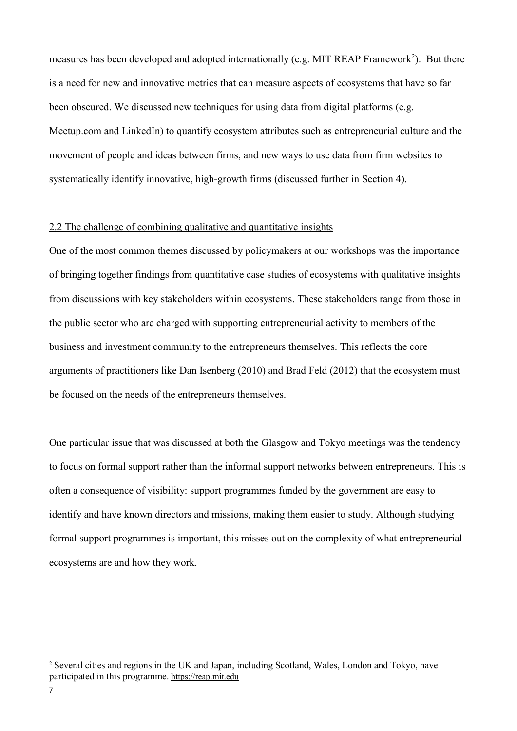measures has been developed and adopted internationally (e.g. MIT REAP Framework<sup>2</sup>). But there is a need for new and innovative metrics that can measure aspects of ecosystems that have so far been obscured. We discussed new techniques for using data from digital platforms (e.g. Meetup.com and LinkedIn) to quantify ecosystem attributes such as entrepreneurial culture and the movement of people and ideas between firms, and new ways to use data from firm websites to systematically identify innovative, high-growth firms (discussed further in Section 4).

## 2.2 The challenge of combining qualitative and quantitative insights

One of the most common themes discussed by policymakers at our workshops was the importance of bringing together findings from quantitative case studies of ecosystems with qualitative insights from discussions with key stakeholders within ecosystems. These stakeholders range from those in the public sector who are charged with supporting entrepreneurial activity to members of the business and investment community to the entrepreneurs themselves. This reflects the core arguments of practitioners like Dan Isenberg (2010) and Brad Feld (2012) that the ecosystem must be focused on the needs of the entrepreneurs themselves.

One particular issue that was discussed at both the Glasgow and Tokyo meetings was the tendency to focus on formal support rather than the informal support networks between entrepreneurs. This is often a consequence of visibility: support programmes funded by the government are easy to identify and have known directors and missions, making them easier to study. Although studying formal support programmes is important, this misses out on the complexity of what entrepreneurial ecosystems are and how they work.

<sup>2</sup> Several cities and regions in the UK and Japan, including Scotland, Wales, London and Tokyo, have participated in this programme. [https://reap.mit.edu](https://reap.mit.edu/)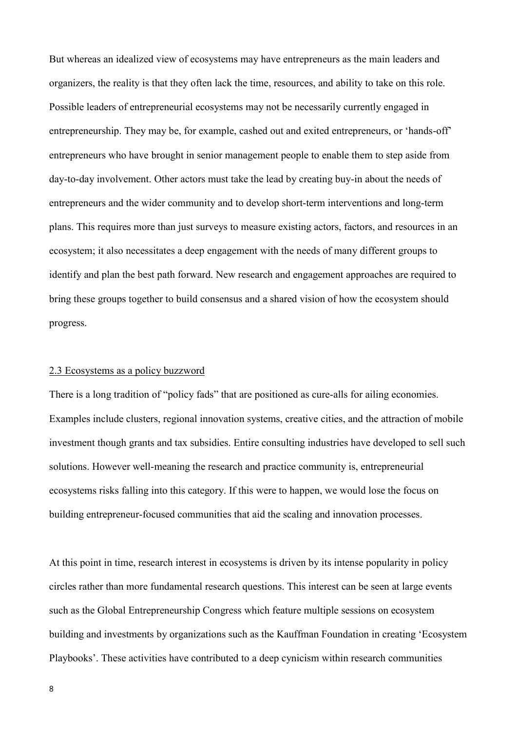But whereas an idealized view of ecosystems may have entrepreneurs as the main leaders and organizers, the reality is that they often lack the time, resources, and ability to take on this role. Possible leaders of entrepreneurial ecosystems may not be necessarily currently engaged in entrepreneurship. They may be, for example, cashed out and exited entrepreneurs, or 'hands-off' entrepreneurs who have brought in senior management people to enable them to step aside from day-to-day involvement. Other actors must take the lead by creating buy-in about the needs of entrepreneurs and the wider community and to develop short-term interventions and long-term plans. This requires more than just surveys to measure existing actors, factors, and resources in an ecosystem; it also necessitates a deep engagement with the needs of many different groups to identify and plan the best path forward. New research and engagement approaches are required to bring these groups together to build consensus and a shared vision of how the ecosystem should progress.

#### 2.3 Ecosystems as a policy buzzword

There is a long tradition of "policy fads" that are positioned as cure-alls for ailing economies. Examples include clusters, regional innovation systems, creative cities, and the attraction of mobile investment though grants and tax subsidies. Entire consulting industries have developed to sell such solutions. However well-meaning the research and practice community is, entrepreneurial ecosystems risks falling into this category. If this were to happen, we would lose the focus on building entrepreneur-focused communities that aid the scaling and innovation processes.

At this point in time, research interest in ecosystems is driven by its intense popularity in policy circles rather than more fundamental research questions. This interest can be seen at large events such as the Global Entrepreneurship Congress which feature multiple sessions on ecosystem building and investments by organizations such as the Kauffman Foundation in creating 'Ecosystem Playbooks'. These activities have contributed to a deep cynicism within research communities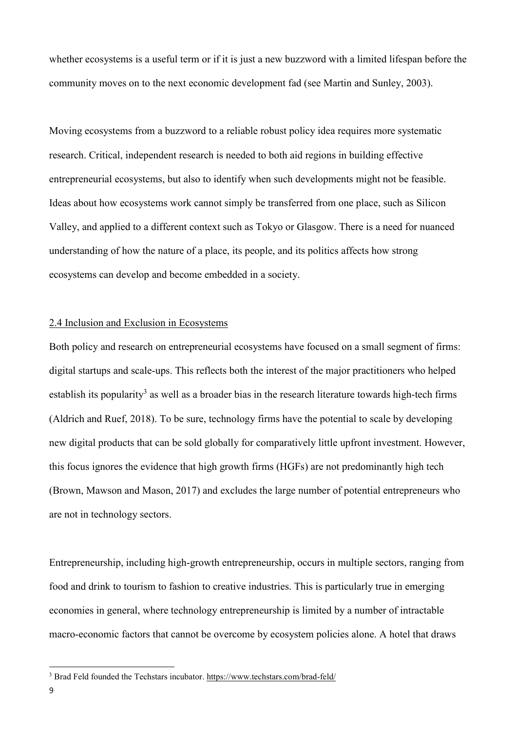whether ecosystems is a useful term or if it is just a new buzzword with a limited lifespan before the community moves on to the next economic development fad (see Martin and Sunley, 2003).

Moving ecosystems from a buzzword to a reliable robust policy idea requires more systematic research. Critical, independent research is needed to both aid regions in building effective entrepreneurial ecosystems, but also to identify when such developments might not be feasible. Ideas about how ecosystems work cannot simply be transferred from one place, such as Silicon Valley, and applied to a different context such as Tokyo or Glasgow. There is a need for nuanced understanding of how the nature of a place, its people, and its politics affects how strong ecosystems can develop and become embedded in a society.

## 2.4 Inclusion and Exclusion in Ecosystems

Both policy and research on entrepreneurial ecosystems have focused on a small segment of firms: digital startups and scale-ups. This reflects both the interest of the major practitioners who helped establish its popularity<sup>3</sup> as well as a broader bias in the research literature towards high-tech firms (Aldrich and Ruef, 2018). To be sure, technology firms have the potential to scale by developing new digital products that can be sold globally for comparatively little upfront investment. However, this focus ignores the evidence that high growth firms (HGFs) are not predominantly high tech (Brown, Mawson and Mason, 2017) and excludes the large number of potential entrepreneurs who are not in technology sectors.

Entrepreneurship, including high-growth entrepreneurship, occurs in multiple sectors, ranging from food and drink to tourism to fashion to creative industries. This is particularly true in emerging economies in general, where technology entrepreneurship is limited by a number of intractable macro-economic factors that cannot be overcome by ecosystem policies alone. A hotel that draws

<sup>3</sup> Brad Feld founded the Techstars incubator. <https://www.techstars.com/brad-feld/>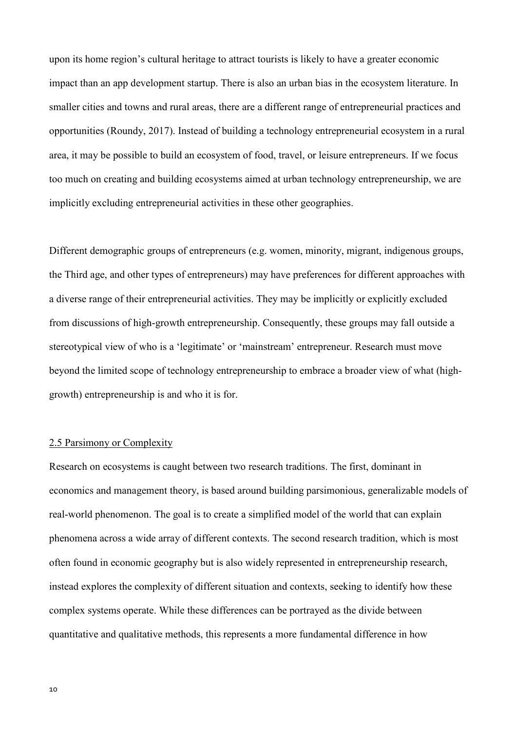upon its home region's cultural heritage to attract tourists is likely to have a greater economic impact than an app development startup. There is also an urban bias in the ecosystem literature. In smaller cities and towns and rural areas, there are a different range of entrepreneurial practices and opportunities (Roundy, 2017). Instead of building a technology entrepreneurial ecosystem in a rural area, it may be possible to build an ecosystem of food, travel, or leisure entrepreneurs. If we focus too much on creating and building ecosystems aimed at urban technology entrepreneurship, we are implicitly excluding entrepreneurial activities in these other geographies.

Different demographic groups of entrepreneurs (e.g. women, minority, migrant, indigenous groups, the Third age, and other types of entrepreneurs) may have preferences for different approaches with a diverse range of their entrepreneurial activities. They may be implicitly or explicitly excluded from discussions of high-growth entrepreneurship. Consequently, these groups may fall outside a stereotypical view of who is a 'legitimate' or 'mainstream' entrepreneur. Research must move beyond the limited scope of technology entrepreneurship to embrace a broader view of what (highgrowth) entrepreneurship is and who it is for.

## 2.5 Parsimony or Complexity

Research on ecosystems is caught between two research traditions. The first, dominant in economics and management theory, is based around building parsimonious, generalizable models of real-world phenomenon. The goal is to create a simplified model of the world that can explain phenomena across a wide array of different contexts. The second research tradition, which is most often found in economic geography but is also widely represented in entrepreneurship research, instead explores the complexity of different situation and contexts, seeking to identify how these complex systems operate. While these differences can be portrayed as the divide between quantitative and qualitative methods, this represents a more fundamental difference in how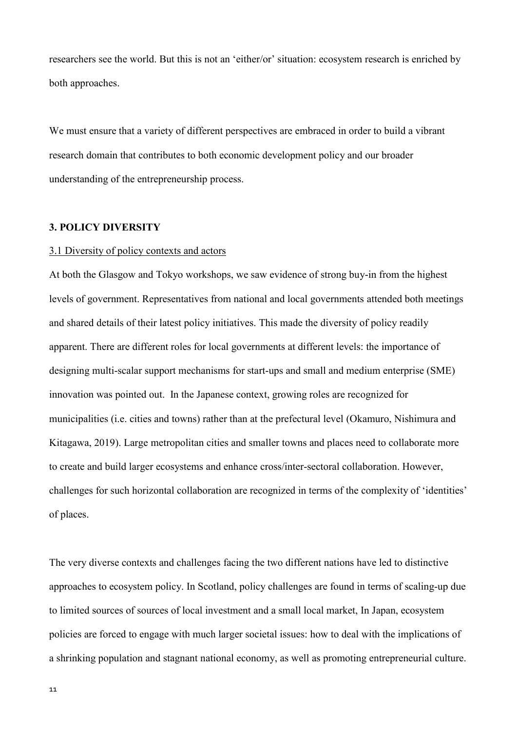researchers see the world. But this is not an 'either/or' situation: ecosystem research is enriched by both approaches.

We must ensure that a variety of different perspectives are embraced in order to build a vibrant research domain that contributes to both economic development policy and our broader understanding of the entrepreneurship process.

#### **3. POLICY DIVERSITY**

#### 3.1 Diversity of policy contexts and actors

At both the Glasgow and Tokyo workshops, we saw evidence of strong buy-in from the highest levels of government. Representatives from national and local governments attended both meetings and shared details of their latest policy initiatives. This made the diversity of policy readily apparent. There are different roles for local governments at different levels: the importance of designing multi-scalar support mechanisms for start-ups and small and medium enterprise (SME) innovation was pointed out. In the Japanese context, growing roles are recognized for municipalities (i.e. cities and towns) rather than at the prefectural level (Okamuro, Nishimura and Kitagawa, 2019). Large metropolitan cities and smaller towns and places need to collaborate more to create and build larger ecosystems and enhance cross/inter-sectoral collaboration. However, challenges for such horizontal collaboration are recognized in terms of the complexity of 'identities' of places.

The very diverse contexts and challenges facing the two different nations have led to distinctive approaches to ecosystem policy. In Scotland, policy challenges are found in terms of scaling-up due to limited sources of sources of local investment and a small local market, In Japan, ecosystem policies are forced to engage with much larger societal issues: how to deal with the implications of a shrinking population and stagnant national economy, as well as promoting entrepreneurial culture.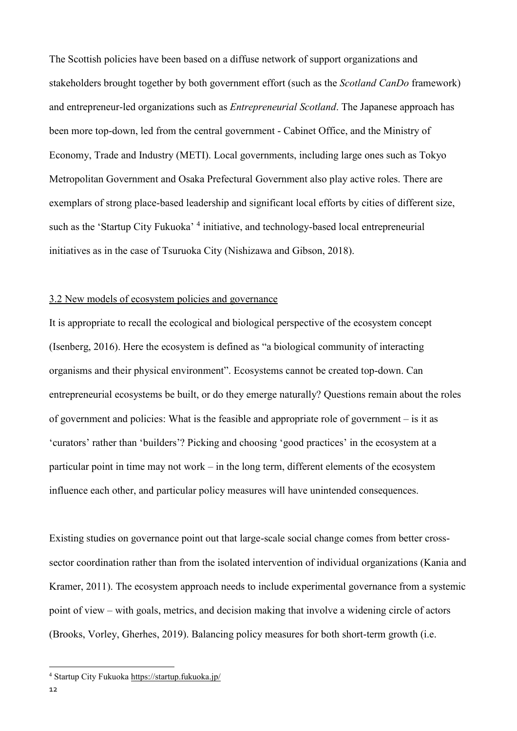The Scottish policies have been based on a diffuse network of support organizations and stakeholders brought together by both government effort (such as the *Scotland CanDo* framework) and entrepreneur-led organizations such as *Entrepreneurial Scotland*. The Japanese approach has been more top-down, led from the central government - Cabinet Office, and the Ministry of Economy, Trade and Industry (METI). Local governments, including large ones such as Tokyo Metropolitan Government and Osaka Prefectural Government also play active roles. There are exemplars of strong place-based leadership and significant local efforts by cities of different size, such as the 'Startup City Fukuoka'<sup>4</sup> initiative, and technology-based local entrepreneurial initiatives as in the case of Tsuruoka City (Nishizawa and Gibson, 2018).

## 3.2 New models of ecosystem policies and governance

It is appropriate to recall the ecological and biological perspective of the ecosystem concept (Isenberg, 2016). Here the ecosystem is defined as "a biological community of interacting organisms and their physical environment". Ecosystems cannot be created top-down. Can entrepreneurial ecosystems be built, or do they emerge naturally? Questions remain about the roles of government and policies: What is the feasible and appropriate role of government – is it as 'curators' rather than 'builders'? Picking and choosing 'good practices' in the ecosystem at a particular point in time may not work – in the long term, different elements of the ecosystem influence each other, and particular policy measures will have unintended consequences.

Existing studies on governance point out that large-scale social change comes from better crosssector coordination rather than from the isolated intervention of individual organizations (Kania and Kramer, 2011). The ecosystem approach needs to include experimental governance from a systemic point of view – with goals, metrics, and decision making that involve a widening circle of actors (Brooks, Vorley, Gherhes, 2019). Balancing policy measures for both short-term growth (i.e.

<sup>4</sup> Startup City Fukuoka<https://startup.fukuoka.jp/>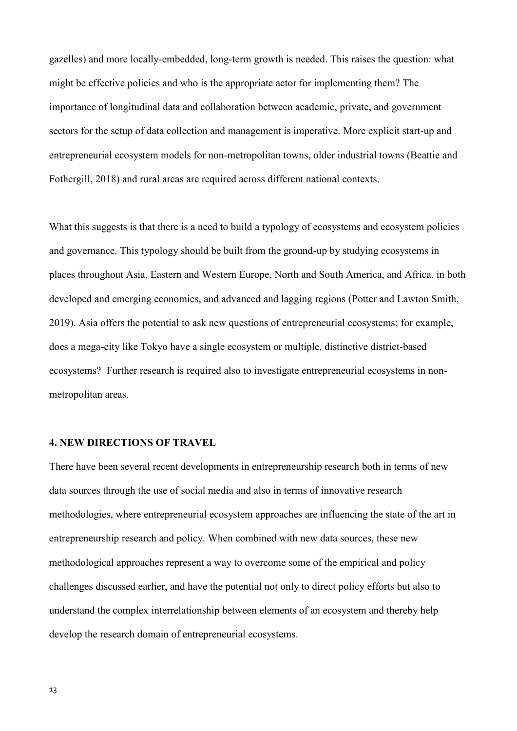gazelles) and more locally-embedded, long-term growth is needed. This raises the question: what might be effective policies and who is the appropriate actor for implementing them? The importance of longitudinal data and collaboration between academic, private, and government sectors for the setup of data collection and management is imperative. More explicit start-up and entrepreneurial ecosystem models for non-metropolitan towns, older industrial towns (Beattie and Fothergill, 2018) and rural areas are required across different national contexts.

What this suggests is that there is a need to build a typology of ecosystems and ecosystem policies and governance. This typology should be built from the ground-up by studying ecosystems in places throughout Asia, Eastern and Western Europe, North and South America, and Africa, in both developed and emerging economies, and advanced and lagging regions (Potter and Lawton Smith, 2019). Asia offers the potential to ask new questions of entrepreneurial ecosystems; for example, does a mega-city like Tokyo have a single ecosystem or multiple, distinctive district-based ecosystems? Further research is required also to investigate entrepreneurial ecosystems in nonmetropolitan areas.

## **4. NEW DIRECTIONS OF TRAVEL**

There have been several recent developments in entrepreneurship research both in terms of new data sources through the use of social media and also in terms of innovative research methodologies, where entrepreneurial ecosystem approaches are influencing the state of the art in entrepreneurship research and policy. When combined with new data sources, these new methodological approaches represent a way to overcome some of the empirical and policy challenges discussed earlier, and have the potential not only to direct policy efforts but also to understand the complex interrelationship between elements of an ecosystem and thereby help develop the research domain of entrepreneurial ecosystems.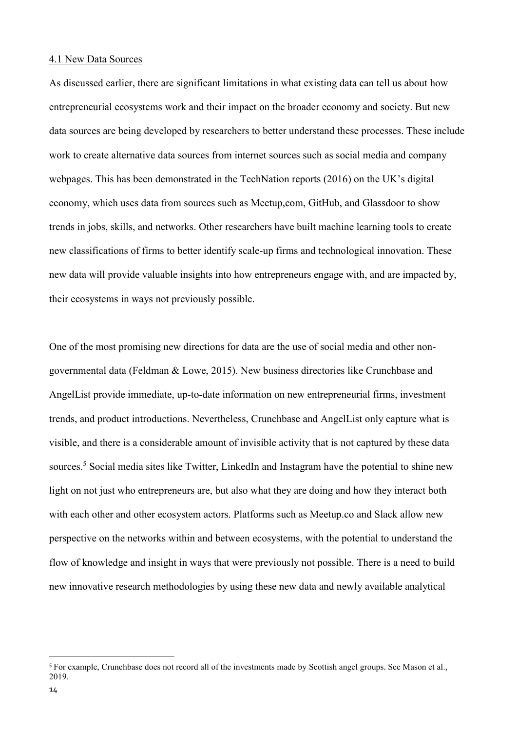#### 4.1 New Data Sources

As discussed earlier, there are significant limitations in what existing data can tell us about how entrepreneurial ecosystems work and their impact on the broader economy and society. But new data sources are being developed by researchers to better understand these processes. These include work to create alternative data sources from internet sources such as social media and company webpages. This has been demonstrated in the TechNation reports (2016) on the UK's digital economy, which uses data from sources such as Meetup,com, GitHub, and Glassdoor to show trends in jobs, skills, and networks. Other researchers have built machine learning tools to create new classifications of firms to better identify scale-up firms and technological innovation. These new data will provide valuable insights into how entrepreneurs engage with, and are impacted by, their ecosystems in ways not previously possible.

One of the most promising new directions for data are the use of social media and other nongovernmental data (Feldman & Lowe, 2015). New business directories like Crunchbase and AngelList provide immediate, up-to-date information on new entrepreneurial firms, investment trends, and product introductions. Nevertheless, Crunchbase and AngelList only capture what is visible, and there is a considerable amount of invisible activity that is not captured by these data sources.<sup>5</sup> Social media sites like Twitter, LinkedIn and Instagram have the potential to shine new light on not just who entrepreneurs are, but also what they are doing and how they interact both with each other and other ecosystem actors. Platforms such as Meetup.co and Slack allow new perspective on the networks within and between ecosystems, with the potential to understand the flow of knowledge and insight in ways that were previously not possible. There is a need to build new innovative research methodologies by using these new data and newly available analytical

1

<sup>5</sup> For example, Crunchbase does not record all of the investments made by Scottish angel groups. See Mason et al., 2019.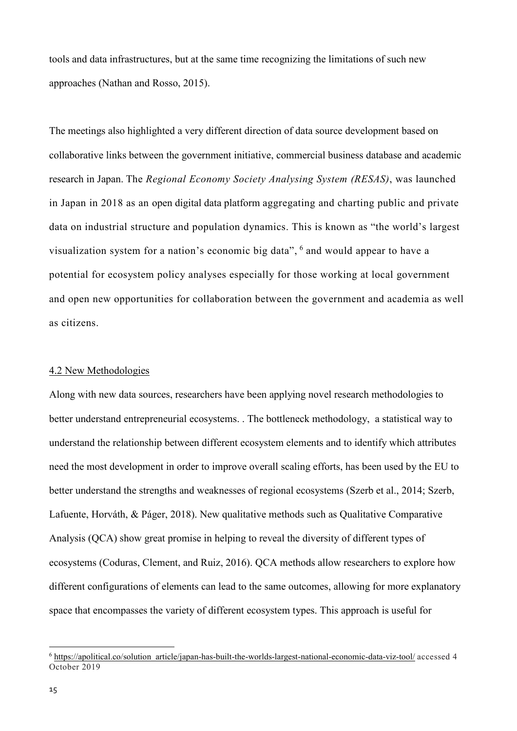tools and data infrastructures, but at the same time recognizing the limitations of such new approaches (Nathan and Rosso, 2015).

The meetings also highlighted a very different direction of data source development based on collaborative links between the government initiative, commercial business database and academic research in Japan. The *Regional Economy Society Analysing System (RESAS)*, was launched in Japan in 2018 as an open digital data platform aggregating and charting public and private data on industrial structure and population dynamics. This is known as "the world's largest visualization system for a nation's economic big data", 6 and would appear to have a potential for ecosystem policy analyses especially for those working at local government and open new opportunities for collaboration between the government and academia as well as citizens.

#### 4.2 New Methodologies

Along with new data sources, researchers have been applying novel research methodologies to better understand entrepreneurial ecosystems. . The bottleneck methodology, a statistical way to understand the relationship between different ecosystem elements and to identify which attributes need the most development in order to improve overall scaling efforts, has been used by the EU to better understand the strengths and weaknesses of regional ecosystems (Szerb et al., 2014; Szerb, Lafuente, Horváth, & Páger, 2018). New qualitative methods such as Qualitative Comparative Analysis (QCA) show great promise in helping to reveal the diversity of different types of ecosystems (Coduras, Clement, and Ruiz, 2016). QCA methods allow researchers to explore how different configurations of elements can lead to the same outcomes, allowing for more explanatory space that encompasses the variety of different ecosystem types. This approach is useful for

1

<sup>&</sup>lt;sup>6</sup> [https://apolitical.co/solution\\_article/japan-has-built-the-worlds-largest-national-economic-data-viz-tool/](https://apolitical.co/solution_article/japan-has-built-the-worlds-largest-national-economic-data-viz-tool/) accessed 4 October 2019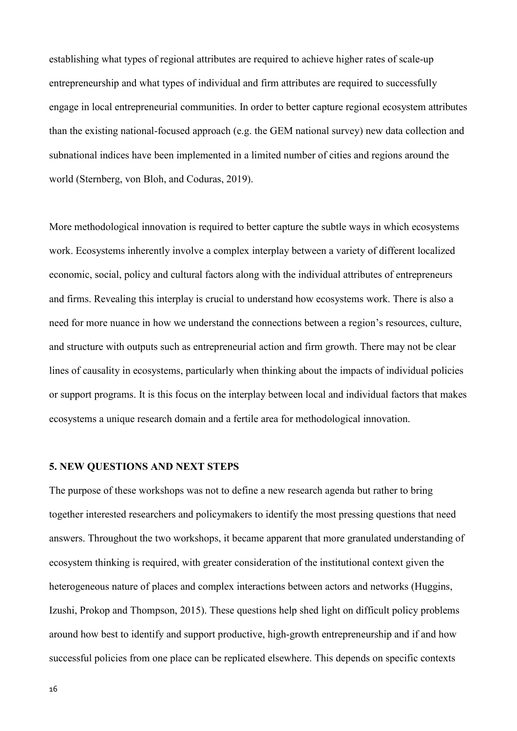establishing what types of regional attributes are required to achieve higher rates of scale-up entrepreneurship and what types of individual and firm attributes are required to successfully engage in local entrepreneurial communities. In order to better capture regional ecosystem attributes than the existing national-focused approach (e.g. the GEM national survey) new data collection and subnational indices have been implemented in a limited number of cities and regions around the world (Sternberg, von Bloh, and Coduras, 2019).

More methodological innovation is required to better capture the subtle ways in which ecosystems work. Ecosystems inherently involve a complex interplay between a variety of different localized economic, social, policy and cultural factors along with the individual attributes of entrepreneurs and firms. Revealing this interplay is crucial to understand how ecosystems work. There is also a need for more nuance in how we understand the connections between a region's resources, culture, and structure with outputs such as entrepreneurial action and firm growth. There may not be clear lines of causality in ecosystems, particularly when thinking about the impacts of individual policies or support programs. It is this focus on the interplay between local and individual factors that makes ecosystems a unique research domain and a fertile area for methodological innovation.

#### **5. NEW QUESTIONS AND NEXT STEPS**

The purpose of these workshops was not to define a new research agenda but rather to bring together interested researchers and policymakers to identify the most pressing questions that need answers. Throughout the two workshops, it became apparent that more granulated understanding of ecosystem thinking is required, with greater consideration of the institutional context given the heterogeneous nature of places and complex interactions between actors and networks (Huggins, Izushi, Prokop and Thompson, 2015). These questions help shed light on difficult policy problems around how best to identify and support productive, high-growth entrepreneurship and if and how successful policies from one place can be replicated elsewhere. This depends on specific contexts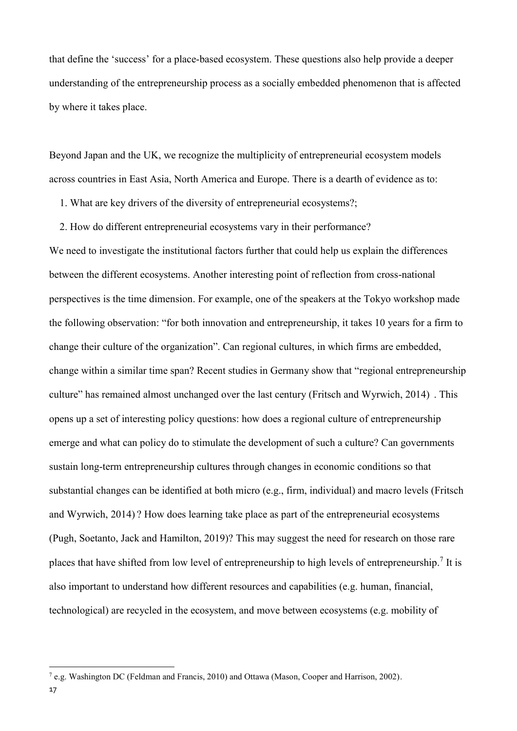that define the 'success' for a place-based ecosystem. These questions also help provide a deeper understanding of the entrepreneurship process as a socially embedded phenomenon that is affected by where it takes place.

Beyond Japan and the UK, we recognize the multiplicity of entrepreneurial ecosystem models across countries in East Asia, North America and Europe. There is a dearth of evidence as to:

- 1. What are key drivers of the diversity of entrepreneurial ecosystems?;
- 2. How do different entrepreneurial ecosystems vary in their performance?

We need to investigate the institutional factors further that could help us explain the differences between the different ecosystems. Another interesting point of reflection from cross-national perspectives is the time dimension. For example, one of the speakers at the Tokyo workshop made the following observation: "for both innovation and entrepreneurship, it takes 10 years for a firm to change their culture of the organization". Can regional cultures, in which firms are embedded, change within a similar time span? Recent studies in Germany show that "regional entrepreneurship culture" has remained almost unchanged over the last century (Fritsch and Wyrwich, 2014) . This opens up a set of interesting policy questions: how does a regional culture of entrepreneurship emerge and what can policy do to stimulate the development of such a culture? Can governments sustain long-term entrepreneurship cultures through changes in economic conditions so that substantial changes can be identified at both micro (e.g., firm, individual) and macro levels (Fritsch and Wyrwich, 2014) ? How does learning take place as part of the entrepreneurial ecosystems (Pugh, Soetanto, Jack and Hamilton, 2019)? This may suggest the need for research on those rare places that have shifted from low level of entrepreneurship to high levels of entrepreneurship.<sup>7</sup> It is also important to understand how different resources and capabilities (e.g. human, financial, technological) are recycled in the ecosystem, and move between ecosystems (e.g. mobility of

<sup>7</sup> e.g. Washington DC (Feldman and Francis, 2010) and Ottawa (Mason, Cooper and Harrison, 2002).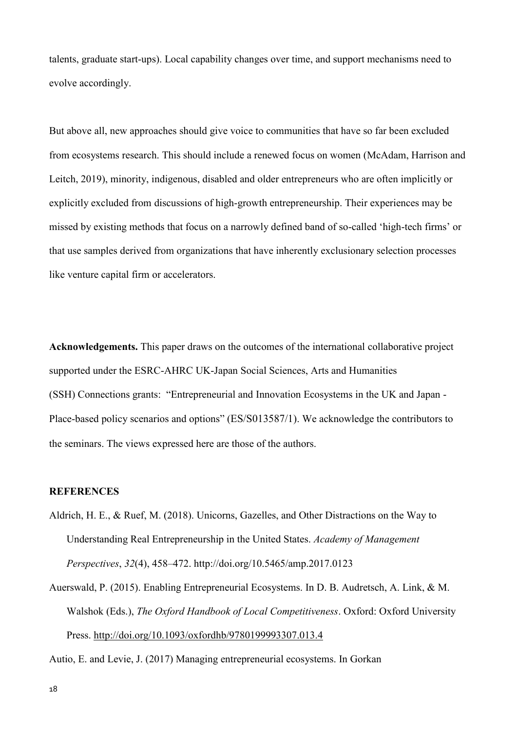talents, graduate start-ups). Local capability changes over time, and support mechanisms need to evolve accordingly.

But above all, new approaches should give voice to communities that have so far been excluded from ecosystems research. This should include a renewed focus on women (McAdam, Harrison and Leitch, 2019), minority, indigenous, disabled and older entrepreneurs who are often implicitly or explicitly excluded from discussions of high-growth entrepreneurship. Their experiences may be missed by existing methods that focus on a narrowly defined band of so-called 'high-tech firms' or that use samples derived from organizations that have inherently exclusionary selection processes like venture capital firm or accelerators.

**Acknowledgements.** This paper draws on the outcomes of the international collaborative project supported under the ESRC-AHRC UK-Japan Social Sciences, Arts and Humanities (SSH) Connections grants: "Entrepreneurial and Innovation Ecosystems in the UK and Japan - Place-based policy scenarios and options" (ES/S013587/1). We acknowledge the contributors to the seminars. The views expressed here are those of the authors.

# **REFERENCES**

- Aldrich, H. E., & Ruef, M. (2018). Unicorns, Gazelles, and Other Distractions on the Way to Understanding Real Entrepreneurship in the United States. *Academy of Management Perspectives*, *32*(4), 458–472. http://doi.org/10.5465/amp.2017.0123
- Auerswald, P. (2015). Enabling Entrepreneurial Ecosystems. In D. B. Audretsch, A. Link, & M. Walshok (Eds.), *The Oxford Handbook of Local Competitiveness*. Oxford: Oxford University Press.<http://doi.org/10.1093/oxfordhb/9780199993307.013.4>

Autio, E. and Levie, J. (2017) Managing entrepreneurial ecosystems. In Gorkan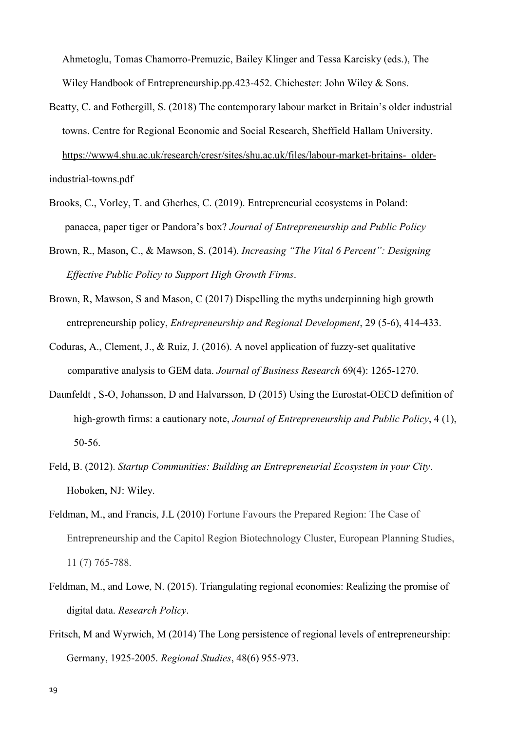Ahmetoglu, Tomas Chamorro-Premuzic, Bailey Klinger and Tessa Karcisky (eds.), The Wiley Handbook of Entrepreneurship.pp.423-452. Chichester: John Wiley & Sons.

Beatty, C. and Fothergill, S. (2018) The contemporary labour market in Britain's older industrial towns. Centre for Regional Economic and Social Research, Sheffield Hallam University. [https://www4.shu.ac.uk/research/cresr/sites/shu.ac.uk/files/labour-market-britains- older-](https://www4.shu.ac.uk/research/cresr/sites/shu.ac.uk/files/labour-market-britains-%20%20older-%20%20industrial-towns.pdf)

[industrial-towns.pdf](https://www4.shu.ac.uk/research/cresr/sites/shu.ac.uk/files/labour-market-britains-%20%20older-%20%20industrial-towns.pdf)

- Brooks, C., Vorley, T. and Gherhes, C. (2019). Entrepreneurial ecosystems in Poland: panacea, paper tiger or Pandora's box? *Journal of Entrepreneurship and Public Policy*
- Brown, R., Mason, C., & Mawson, S. (2014). *Increasing "The Vital 6 Percent": Designing Effective Public Policy to Support High Growth Firms*.
- Brown, R, Mawson, S and Mason, C (2017) Dispelling the myths underpinning high growth entrepreneurship policy, *Entrepreneurship and Regional Development*, 29 (5-6), 414-433.
- Coduras, A., Clement, J., & Ruiz, J. (2016). A novel application of fuzzy-set qualitative comparative analysis to GEM data. *Journal of Business Research* 69(4): 1265-1270.
- Daunfeldt , S-O, Johansson, D and Halvarsson, D (2015) Using the Eurostat-OECD definition of high-growth firms: a cautionary note, *Journal of Entrepreneurship and Public Policy*, 4 (1), 50-56.
- Feld, B. (2012). *Startup Communities: Building an Entrepreneurial Ecosystem in your City*. Hoboken, NJ: Wiley.
- Feldman, M., and Francis, J.L (2010) Fortune Favours the Prepared Region: The Case of Entrepreneurship and the Capitol Region Biotechnology Cluster, European Planning Studies, 11 (7) 765-788.
- Feldman, M., and Lowe, N. (2015). Triangulating regional economies: Realizing the promise of digital data. *Research Policy*.
- Fritsch, M and Wyrwich, M (2014) The Long persistence of regional levels of entrepreneurship: Germany, 1925-2005. *Regional Studies*, 48(6) 955-973.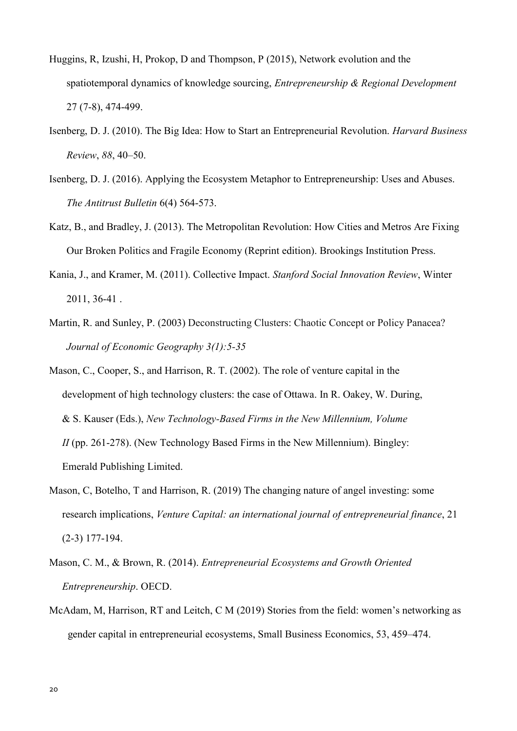- Huggins, R, Izushi, H, Prokop, D and Thompson, P (2015), Network evolution and the spatiotemporal dynamics of knowledge sourcing, *Entrepreneurship & Regional Development* 27 (7-8), 474-499.
- Isenberg, D. J. (2010). The Big Idea: How to Start an Entrepreneurial Revolution. *Harvard Business Review*, *88*, 40–50.
- Isenberg, D. J. (2016). Applying the Ecosystem Metaphor to Entrepreneurship: Uses and Abuses. *The Antitrust Bulletin* 6(4) 564-573.
- Katz, B., and Bradley, J. (2013). The Metropolitan Revolution: How Cities and Metros Are Fixing Our Broken Politics and Fragile Economy (Reprint edition). Brookings Institution Press.
- Kania, J., and Kramer, M. (2011). Collective Impact. *Stanford Social Innovation Review*, Winter 2011, 36-41 .
- Martin, R. and Sunley, P. (2003) Deconstructing Clusters: Chaotic Concept or Policy Panacea? *Journal of Economic Geography 3(1):5-35*
- Mason, C., Cooper, S., and Harrison, R. T. (2002). The role of venture capital in the development of high technology clusters: the case of Ottawa. In R. Oakey, W. During, & S. Kauser (Eds.), *New Technology-Based Firms in the New Millennium, Volume II* (pp. 261-278). (New Technology Based Firms in the New Millennium). Bingley: Emerald Publishing Limited.
- Mason, C, Botelho, T and Harrison, R. (2019) The changing nature of angel investing: some research implications, *Venture Capital: an international journal of entrepreneurial finance*, 21 (2-3) 177-194.
- Mason, C. M., & Brown, R. (2014). *Entrepreneurial Ecosystems and Growth Oriented Entrepreneurship*. OECD.
- McAdam, M, Harrison, RT and Leitch, C M (2019) Stories from the field: women's networking as gender capital in entrepreneurial ecosystems, Small Business Economics, 53, 459–474.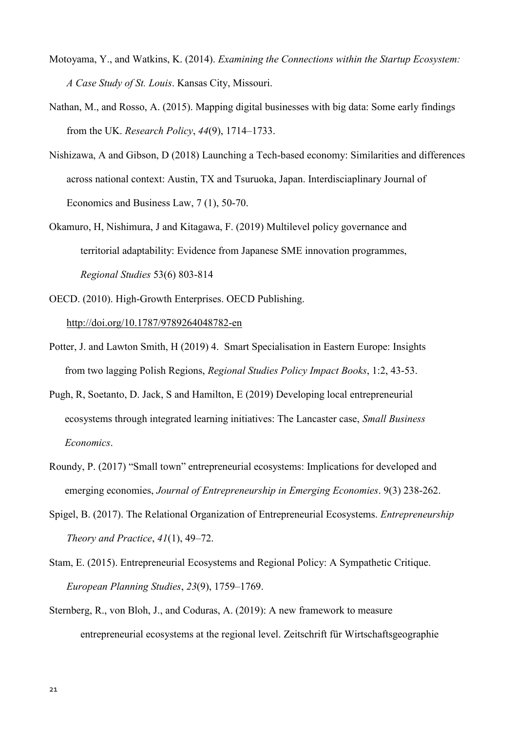- Motoyama, Y., and Watkins, K. (2014). *Examining the Connections within the Startup Ecosystem: A Case Study of St. Louis*. Kansas City, Missouri.
- Nathan, M., and Rosso, A. (2015). Mapping digital businesses with big data: Some early findings from the UK. *Research Policy*, *44*(9), 1714–1733.
- Nishizawa, A and Gibson, D (2018) Launching a Tech-based economy: Similarities and differences across national context: Austin, TX and Tsuruoka, Japan. Interdisciaplinary Journal of Economics and Business Law, 7 (1), 50-70.
- Okamuro, H, Nishimura, J and Kitagawa, F. (2019) Multilevel policy governance and territorial adaptability: Evidence from Japanese SME innovation programmes, *Regional Studies* 53(6) 803-814
- OECD. (2010). High-Growth Enterprises. OECD Publishing. <http://doi.org/10.1787/9789264048782-en>
- Potter, J. and Lawton Smith, H (2019) 4. Smart Specialisation in Eastern Europe: Insights from two lagging Polish Regions, *Regional Studies Policy Impact Books*, 1:2, 43-53.
- Pugh, R, Soetanto, D. Jack, S and Hamilton, E (2019) Developing local entrepreneurial ecosystems through integrated learning initiatives: The Lancaster case, *Small Business Economics*.
- Roundy, P. (2017) "Small town" entrepreneurial ecosystems: Implications for developed and emerging economies, *Journal of Entrepreneurship in Emerging Economies*. 9(3) 238-262.
- Spigel, B. (2017). The Relational Organization of Entrepreneurial Ecosystems. *Entrepreneurship Theory and Practice*, *41*(1), 49–72.
- Stam, E. (2015). Entrepreneurial Ecosystems and Regional Policy: A Sympathetic Critique. *European Planning Studies*, *23*(9), 1759–1769.
- Sternberg, R., von Bloh, J., and Coduras, A. (2019): A new framework to measure entrepreneurial ecosystems at the regional level. Zeitschrift für Wirtschaftsgeographie